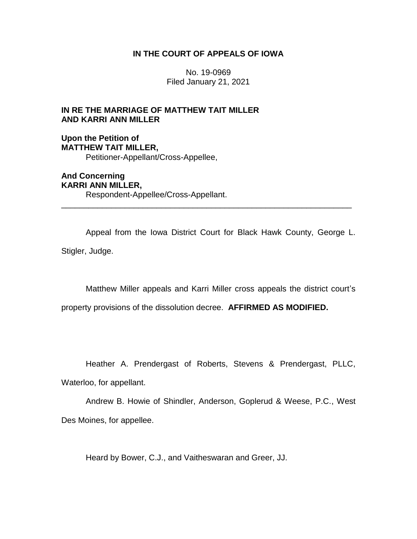# **IN THE COURT OF APPEALS OF IOWA**

No. 19-0969 Filed January 21, 2021

# **IN RE THE MARRIAGE OF MATTHEW TAIT MILLER AND KARRI ANN MILLER**

**Upon the Petition of MATTHEW TAIT MILLER,** Petitioner-Appellant/Cross-Appellee,

**And Concerning KARRI ANN MILLER,** Respondent-Appellee/Cross-Appellant.

Appeal from the Iowa District Court for Black Hawk County, George L. Stigler, Judge.

\_\_\_\_\_\_\_\_\_\_\_\_\_\_\_\_\_\_\_\_\_\_\_\_\_\_\_\_\_\_\_\_\_\_\_\_\_\_\_\_\_\_\_\_\_\_\_\_\_\_\_\_\_\_\_\_\_\_\_\_\_\_\_\_

Matthew Miller appeals and Karri Miller cross appeals the district court's

property provisions of the dissolution decree. **AFFIRMED AS MODIFIED.** 

Heather A. Prendergast of Roberts, Stevens & Prendergast, PLLC, Waterloo, for appellant.

Andrew B. Howie of Shindler, Anderson, Goplerud & Weese, P.C., West Des Moines, for appellee.

Heard by Bower, C.J., and Vaitheswaran and Greer, JJ.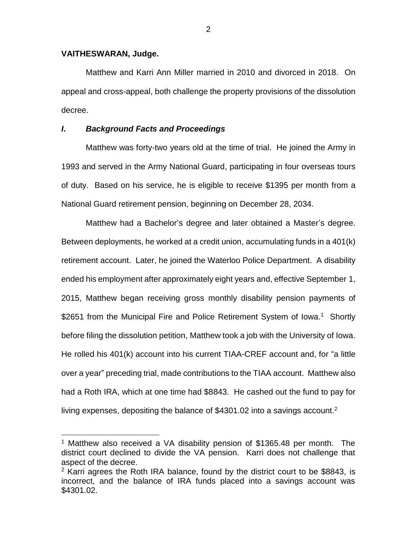#### **VAITHESWARAN, Judge.**

 $\overline{a}$ 

Matthew and Karri Ann Miller married in 2010 and divorced in 2018. On appeal and cross-appeal, both challenge the property provisions of the dissolution decree.

# *I***.** *Background Facts and Proceedings*

Matthew was forty-two years old at the time of trial. He joined the Army in 1993 and served in the Army National Guard, participating in four overseas tours of duty. Based on his service, he is eligible to receive \$1395 per month from a National Guard retirement pension, beginning on December 28, 2034.

Matthew had a Bachelor's degree and later obtained a Master's degree. Between deployments, he worked at a credit union, accumulating funds in a 401(k) retirement account. Later, he joined the Waterloo Police Department. A disability ended his employment after approximately eight years and, effective September 1, 2015, Matthew began receiving gross monthly disability pension payments of \$2651 from the Municipal Fire and Police Retirement System of Iowa.<sup>1</sup> Shortly before filing the dissolution petition, Matthew took a job with the University of Iowa. He rolled his 401(k) account into his current TIAA-CREF account and, for "a little over a year" preceding trial, made contributions to the TIAA account. Matthew also had a Roth IRA, which at one time had \$8843. He cashed out the fund to pay for living expenses, depositing the balance of \$4301.02 into a savings account.<sup>2</sup>

<sup>&</sup>lt;sup>1</sup> Matthew also received a VA disability pension of \$1365.48 per month. The district court declined to divide the VA pension. Karri does not challenge that aspect of the decree.

 $2$  Karri agrees the Roth IRA balance, found by the district court to be \$8843, is incorrect, and the balance of IRA funds placed into a savings account was \$4301.02.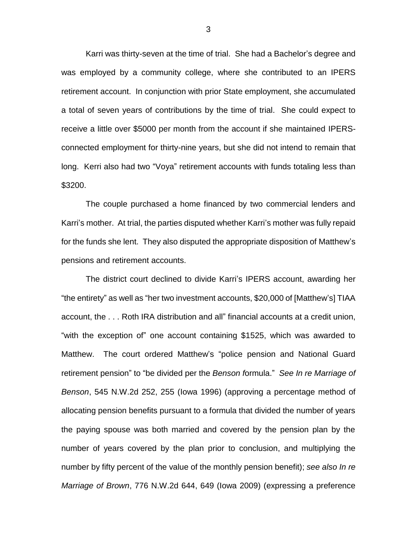Karri was thirty-seven at the time of trial. She had a Bachelor's degree and was employed by a community college, where she contributed to an IPERS retirement account. In conjunction with prior State employment, she accumulated a total of seven years of contributions by the time of trial. She could expect to receive a little over \$5000 per month from the account if she maintained IPERSconnected employment for thirty-nine years, but she did not intend to remain that long. Kerri also had two "Voya" retirement accounts with funds totaling less than \$3200.

The couple purchased a home financed by two commercial lenders and Karri's mother. At trial, the parties disputed whether Karri's mother was fully repaid for the funds she lent. They also disputed the appropriate disposition of Matthew's pensions and retirement accounts.

The district court declined to divide Karri's IPERS account, awarding her "the entirety" as well as "her two investment accounts, \$20,000 of [Matthew's] TIAA account, the . . . Roth IRA distribution and all" financial accounts at a credit union, "with the exception of" one account containing \$1525, which was awarded to Matthew. The court ordered Matthew's "police pension and National Guard retirement pension" to "be divided per the *Benson f*ormula." *See In re Marriage of Benson*, 545 N.W.2d 252, 255 (Iowa 1996) (approving a percentage method of allocating pension benefits pursuant to a formula that divided the number of years the paying spouse was both married and covered by the pension plan by the number of years covered by the plan prior to conclusion, and multiplying the number by fifty percent of the value of the monthly pension benefit); *see also In re Marriage of Brown*, 776 N.W.2d 644, 649 (Iowa 2009) (expressing a preference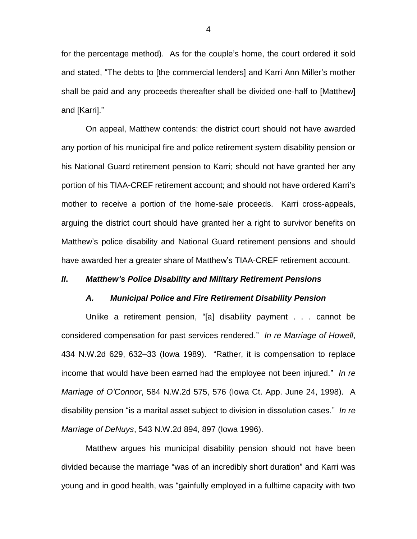for the percentage method). As for the couple's home, the court ordered it sold and stated, "The debts to [the commercial lenders] and Karri Ann Miller's mother shall be paid and any proceeds thereafter shall be divided one-half to [Matthew] and [Karri]."

On appeal, Matthew contends: the district court should not have awarded any portion of his municipal fire and police retirement system disability pension or his National Guard retirement pension to Karri; should not have granted her any portion of his TIAA-CREF retirement account; and should not have ordered Karri's mother to receive a portion of the home-sale proceeds. Karri cross-appeals, arguing the district court should have granted her a right to survivor benefits on Matthew's police disability and National Guard retirement pensions and should have awarded her a greater share of Matthew's TIAA-CREF retirement account.

## *II***.** *Matthew's Police Disability and Military Retirement Pensions*

#### *A. Municipal Police and Fire Retirement Disability Pension*

Unlike a retirement pension, "[a] disability payment . . . cannot be considered compensation for past services rendered." *In re Marriage of Howell*, 434 N.W.2d 629, 632–33 (Iowa 1989). "Rather, it is compensation to replace income that would have been earned had the employee not been injured." *In re Marriage of O'Connor*, 584 N.W.2d 575, 576 (Iowa Ct. App. June 24, 1998). A disability pension "is a marital asset subject to division in dissolution cases." *In re Marriage of DeNuys*, 543 N.W.2d 894, 897 (Iowa 1996).

Matthew argues his municipal disability pension should not have been divided because the marriage "was of an incredibly short duration" and Karri was young and in good health, was "gainfully employed in a fulltime capacity with two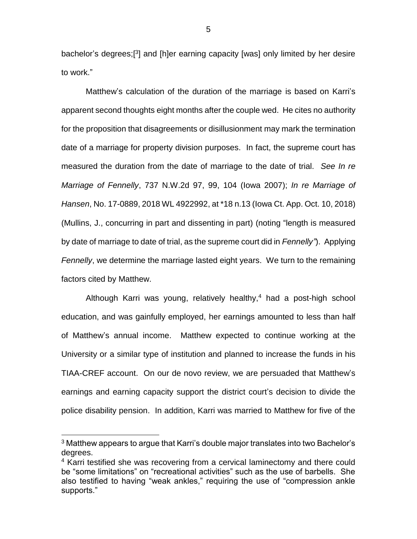bachelor's degrees;<sup>[3</sup>] and [h]er earning capacity [was] only limited by her desire to work."

Matthew's calculation of the duration of the marriage is based on Karri's apparent second thoughts eight months after the couple wed. He cites no authority for the proposition that disagreements or disillusionment may mark the termination date of a marriage for property division purposes. In fact, the supreme court has measured the duration from the date of marriage to the date of trial. *See In re Marriage of Fennelly*, 737 N.W.2d 97, 99, 104 (Iowa 2007); *In re Marriage of Hansen*, No. 17-0889, 2018 WL 4922992, at \*18 n.13 (Iowa Ct. App. Oct. 10, 2018) (Mullins, J., concurring in part and dissenting in part) (noting "length is measured by date of marriage to date of trial, as the supreme court did in *Fennelly"*). Applying *Fennelly*, we determine the marriage lasted eight years. We turn to the remaining factors cited by Matthew.

Although Karri was young, relatively healthy, <sup>4</sup> had a post-high school education, and was gainfully employed, her earnings amounted to less than half of Matthew's annual income. Matthew expected to continue working at the University or a similar type of institution and planned to increase the funds in his TIAA-CREF account. On our de novo review, we are persuaded that Matthew's earnings and earning capacity support the district court's decision to divide the police disability pension. In addition, Karri was married to Matthew for five of the

 $\overline{a}$ 

<sup>3</sup> Matthew appears to argue that Karri's double major translates into two Bachelor's degrees.

<sup>&</sup>lt;sup>4</sup> Karri testified she was recovering from a cervical laminectomy and there could be "some limitations" on "recreational activities" such as the use of barbells. She also testified to having "weak ankles," requiring the use of "compression ankle supports."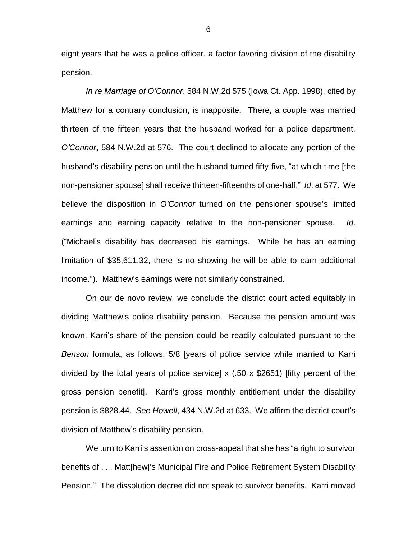eight years that he was a police officer, a factor favoring division of the disability pension.

*In re Marriage of O'Connor*, 584 N.W.2d 575 (Iowa Ct. App. 1998), cited by Matthew for a contrary conclusion, is inapposite. There, a couple was married thirteen of the fifteen years that the husband worked for a police department. *O'Connor*, 584 N.W.2d at 576. The court declined to allocate any portion of the husband's disability pension until the husband turned fifty-five, "at which time [the non-pensioner spouse] shall receive thirteen-fifteenths of one-half." *Id*. at 577. We believe the disposition in *O'Connor* turned on the pensioner spouse's limited earnings and earning capacity relative to the non-pensioner spouse. *Id*. ("Michael's disability has decreased his earnings. While he has an earning limitation of \$35,611.32, there is no showing he will be able to earn additional income."). Matthew's earnings were not similarly constrained.

On our de novo review, we conclude the district court acted equitably in dividing Matthew's police disability pension. Because the pension amount was known, Karri's share of the pension could be readily calculated pursuant to the *Benson* formula, as follows: 5/8 [years of police service while married to Karri divided by the total years of police service]  $\times$  (.50  $\times$  \$2651) [fifty percent of the gross pension benefit]. Karri's gross monthly entitlement under the disability pension is \$828.44. *See Howell*, 434 N.W.2d at 633. We affirm the district court's division of Matthew's disability pension.

We turn to Karri's assertion on cross-appeal that she has "a right to survivor benefits of . . . Matt[hew]'s Municipal Fire and Police Retirement System Disability Pension." The dissolution decree did not speak to survivor benefits. Karri moved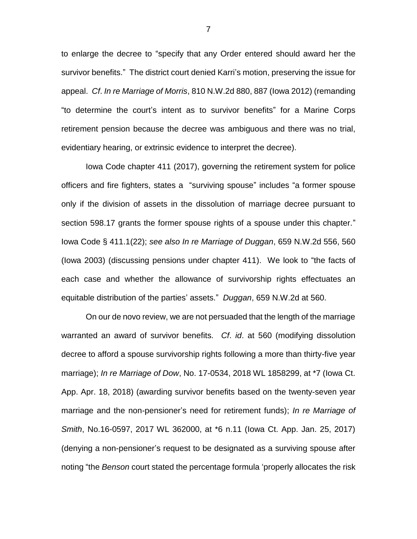to enlarge the decree to "specify that any Order entered should award her the survivor benefits." The district court denied Karri's motion, preserving the issue for appeal. *Cf*. *In re Marriage of Morris*, 810 N.W.2d 880, 887 (Iowa 2012) (remanding "to determine the court's intent as to survivor benefits" for a Marine Corps retirement pension because the decree was ambiguous and there was no trial, evidentiary hearing, or extrinsic evidence to interpret the decree).

Iowa Code chapter 411 (2017), governing the retirement system for police officers and fire fighters, states a "surviving spouse" includes "a former spouse only if the division of assets in the dissolution of marriage decree pursuant to section 598.17 grants the former spouse rights of a spouse under this chapter." Iowa Code § 411.1(22); *see also In re Marriage of Duggan*, 659 N.W.2d 556, 560 (Iowa 2003) (discussing pensions under chapter 411). We look to "the facts of each case and whether the allowance of survivorship rights effectuates an equitable distribution of the parties' assets." *Duggan*, 659 N.W.2d at 560.

On our de novo review, we are not persuaded that the length of the marriage warranted an award of survivor benefits. *Cf*. *id*. at 560 (modifying dissolution decree to afford a spouse survivorship rights following a more than thirty-five year marriage); *In re Marriage of Dow*, No. 17-0534, 2018 WL 1858299, at \*7 (Iowa Ct. App. Apr. 18, 2018) (awarding survivor benefits based on the twenty-seven year marriage and the non-pensioner's need for retirement funds); *In re Marriage of Smith*, No.16-0597, 2017 WL 362000, at \*6 n.11 (Iowa Ct. App. Jan. 25, 2017) (denying a non-pensioner's request to be designated as a surviving spouse after noting "the *Benson* court stated the percentage formula 'properly allocates the risk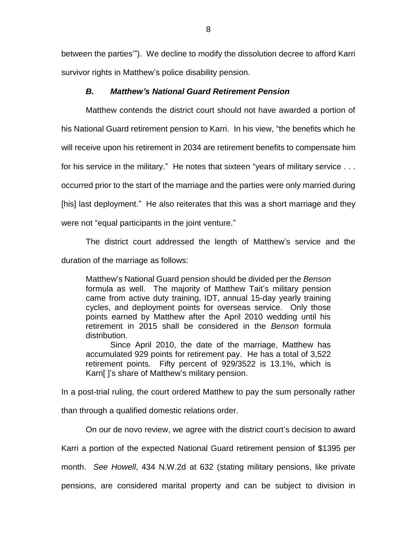between the parties'"). We decline to modify the dissolution decree to afford Karri survivor rights in Matthew's police disability pension.

## *B. Matthew's National Guard Retirement Pension*

Matthew contends the district court should not have awarded a portion of

his National Guard retirement pension to Karri. In his view, "the benefits which he

will receive upon his retirement in 2034 are retirement benefits to compensate him

for his service in the military." He notes that sixteen "years of military service . . .

occurred prior to the start of the marriage and the parties were only married during

[his] last deployment." He also reiterates that this was a short marriage and they

were not "equal participants in the joint venture."

The district court addressed the length of Matthew's service and the

duration of the marriage as follows:

Matthew's National Guard pension should be divided per the *Benson* formula as well. The majority of Matthew Tait's military pension came from active duty training, IDT, annual 15-day yearly training cycles, and deployment points for overseas service. Only those points earned by Matthew after the April 2010 wedding until his retirement in 2015 shall be considered in the *Benson* formula distribution.

Since April 2010, the date of the marriage, Matthew has accumulated 929 points for retirement pay. He has a total of 3,522 retirement points. Fifty percent of 929/3522 is 13.1%, which is Karri[ ]'s share of Matthew's military pension.

In a post-trial ruling, the court ordered Matthew to pay the sum personally rather than through a qualified domestic relations order.

On our de novo review, we agree with the district court's decision to award

Karri a portion of the expected National Guard retirement pension of \$1395 per

month. *See Howell*, 434 N.W.2d at 632 (stating military pensions, like private

pensions, are considered marital property and can be subject to division in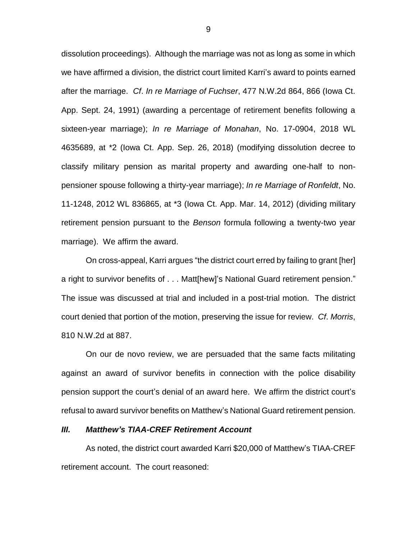dissolution proceedings). Although the marriage was not as long as some in which we have affirmed a division, the district court limited Karri's award to points earned after the marriage. *Cf*. *In re Marriage of Fuchser*, 477 N.W.2d 864, 866 (Iowa Ct. App. Sept. 24, 1991) (awarding a percentage of retirement benefits following a sixteen-year marriage); *In re Marriage of Monahan*, No. 17-0904, 2018 WL 4635689, at \*2 (Iowa Ct. App. Sep. 26, 2018) (modifying dissolution decree to classify military pension as marital property and awarding one-half to nonpensioner spouse following a thirty-year marriage); *In re Marriage of Ronfeldt*, No. 11-1248, 2012 WL 836865, at \*3 (Iowa Ct. App. Mar. 14, 2012) (dividing military retirement pension pursuant to the *Benson* formula following a twenty-two year marriage). We affirm the award.

On cross-appeal, Karri argues "the district court erred by failing to grant [her] a right to survivor benefits of . . . Matt[hew]'s National Guard retirement pension." The issue was discussed at trial and included in a post-trial motion. The district court denied that portion of the motion, preserving the issue for review. *Cf*. *Morris*, 810 N.W.2d at 887.

On our de novo review, we are persuaded that the same facts militating against an award of survivor benefits in connection with the police disability pension support the court's denial of an award here. We affirm the district court's refusal to award survivor benefits on Matthew's National Guard retirement pension.

#### *III. Matthew's TIAA-CREF Retirement Account*

As noted, the district court awarded Karri \$20,000 of Matthew's TIAA-CREF retirement account. The court reasoned: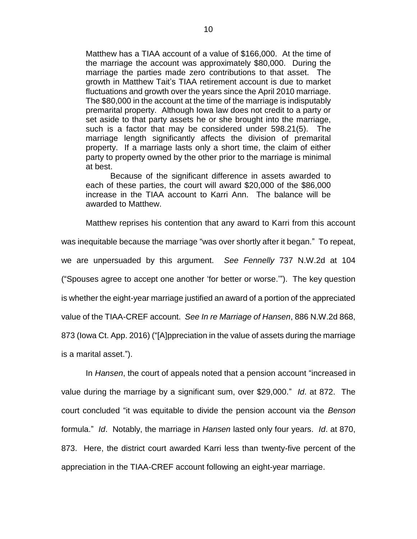Matthew has a TIAA account of a value of \$166,000. At the time of the marriage the account was approximately \$80,000. During the marriage the parties made zero contributions to that asset. The growth in Matthew Tait's TIAA retirement account is due to market fluctuations and growth over the years since the April 2010 marriage. The \$80,000 in the account at the time of the marriage is indisputably premarital property. Although Iowa law does not credit to a party or set aside to that party assets he or she brought into the marriage, such is a factor that may be considered under 598.21(5). The marriage length significantly affects the division of premarital property. If a marriage lasts only a short time, the claim of either party to property owned by the other prior to the marriage is minimal at best.

Because of the significant difference in assets awarded to each of these parties, the court will award \$20,000 of the \$86,000 increase in the TIAA account to Karri Ann. The balance will be awarded to Matthew.

Matthew reprises his contention that any award to Karri from this account

was inequitable because the marriage "was over shortly after it began." To repeat, we are unpersuaded by this argument. *See Fennelly* 737 N.W.2d at 104 ("Spouses agree to accept one another 'for better or worse.'"). The key question is whether the eight-year marriage justified an award of a portion of the appreciated value of the TIAA-CREF account. *See In re Marriage of Hansen*, 886 N.W.2d 868, 873 (Iowa Ct. App. 2016) ("[A]ppreciation in the value of assets during the marriage is a marital asset.").

In *Hansen*, the court of appeals noted that a pension account "increased in value during the marriage by a significant sum, over \$29,000." *Id*. at 872. The court concluded "it was equitable to divide the pension account via the *Benson* formula." *Id*. Notably, the marriage in *Hansen* lasted only four years. *Id*. at 870, 873. Here, the district court awarded Karri less than twenty-five percent of the appreciation in the TIAA-CREF account following an eight-year marriage.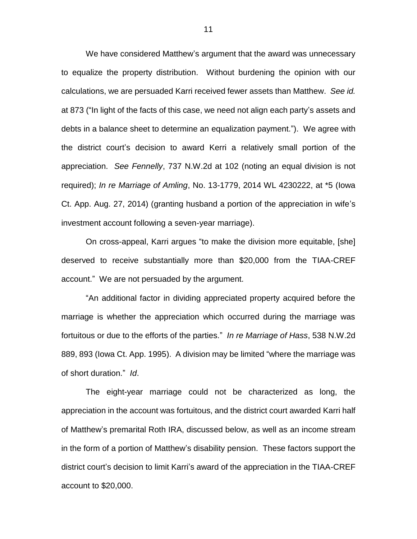We have considered Matthew's argument that the award was unnecessary to equalize the property distribution. Without burdening the opinion with our calculations, we are persuaded Karri received fewer assets than Matthew. *See id.* at 873 ("In light of the facts of this case, we need not align each party's assets and debts in a balance sheet to determine an equalization payment."). We agree with the district court's decision to award Kerri a relatively small portion of the appreciation. *See Fennelly*, 737 N.W.2d at 102 (noting an equal division is not required); *In re Marriage of Amling*, No. 13-1779, 2014 WL 4230222, at \*5 (Iowa Ct. App. Aug. 27, 2014) (granting husband a portion of the appreciation in wife's investment account following a seven-year marriage).

On cross-appeal, Karri argues "to make the division more equitable, [she] deserved to receive substantially more than \$20,000 from the TIAA-CREF account." We are not persuaded by the argument.

"An additional factor in dividing appreciated property acquired before the marriage is whether the appreciation which occurred during the marriage was fortuitous or due to the efforts of the parties." *In re Marriage of Hass*, 538 N.W.2d 889, 893 (Iowa Ct. App. 1995). A division may be limited "where the marriage was of short duration." *Id*.

The eight-year marriage could not be characterized as long, the appreciation in the account was fortuitous, and the district court awarded Karri half of Matthew's premarital Roth IRA, discussed below, as well as an income stream in the form of a portion of Matthew's disability pension. These factors support the district court's decision to limit Karri's award of the appreciation in the TIAA-CREF account to \$20,000.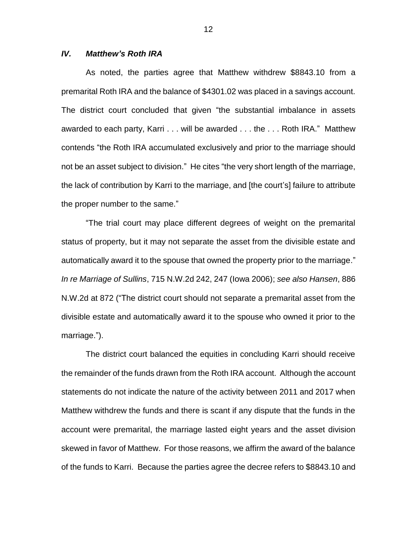# *IV. Matthew's Roth IRA*

As noted, the parties agree that Matthew withdrew \$8843.10 from a premarital Roth IRA and the balance of \$4301.02 was placed in a savings account. The district court concluded that given "the substantial imbalance in assets awarded to each party, Karri . . . will be awarded . . . the . . . Roth IRA." Matthew contends "the Roth IRA accumulated exclusively and prior to the marriage should not be an asset subject to division." He cites "the very short length of the marriage, the lack of contribution by Karri to the marriage, and [the court's] failure to attribute the proper number to the same."

"The trial court may place different degrees of weight on the premarital status of property, but it may not separate the asset from the divisible estate and automatically award it to the spouse that owned the property prior to the marriage." *In re Marriage of Sullins*, 715 N.W.2d 242, 247 (Iowa 2006); *see also Hansen*, 886 N.W.2d at 872 ("The district court should not separate a premarital asset from the divisible estate and automatically award it to the spouse who owned it prior to the marriage.").

The district court balanced the equities in concluding Karri should receive the remainder of the funds drawn from the Roth IRA account. Although the account statements do not indicate the nature of the activity between 2011 and 2017 when Matthew withdrew the funds and there is scant if any dispute that the funds in the account were premarital, the marriage lasted eight years and the asset division skewed in favor of Matthew. For those reasons, we affirm the award of the balance of the funds to Karri. Because the parties agree the decree refers to \$8843.10 and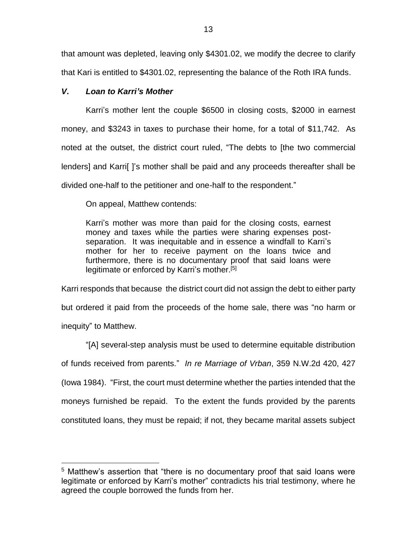that amount was depleted, leaving only \$4301.02, we modify the decree to clarify that Kari is entitled to \$4301.02, representing the balance of the Roth IRA funds.

# *V***.** *Loan to Karri's Mother*

 $\overline{a}$ 

Karri's mother lent the couple \$6500 in closing costs, \$2000 in earnest money, and \$3243 in taxes to purchase their home, for a total of \$11,742. As noted at the outset, the district court ruled, "The debts to [the two commercial lenders] and Karri[ ]'s mother shall be paid and any proceeds thereafter shall be divided one-half to the petitioner and one-half to the respondent."

On appeal, Matthew contends:

Karri's mother was more than paid for the closing costs, earnest money and taxes while the parties were sharing expenses postseparation. It was inequitable and in essence a windfall to Karri's mother for her to receive payment on the loans twice and furthermore, there is no documentary proof that said loans were legitimate or enforced by Karri's mother.[5]

Karri responds that because the district court did not assign the debt to either party but ordered it paid from the proceeds of the home sale, there was "no harm or inequity" to Matthew.

"[A] several-step analysis must be used to determine equitable distribution of funds received from parents." *In re Marriage of Vrban*, 359 N.W.2d 420, 427 (Iowa 1984). "First, the court must determine whether the parties intended that the moneys furnished be repaid. To the extent the funds provided by the parents constituted loans, they must be repaid; if not, they became marital assets subject

<sup>&</sup>lt;sup>5</sup> Matthew's assertion that "there is no documentary proof that said loans were legitimate or enforced by Karri's mother" contradicts his trial testimony, where he agreed the couple borrowed the funds from her.